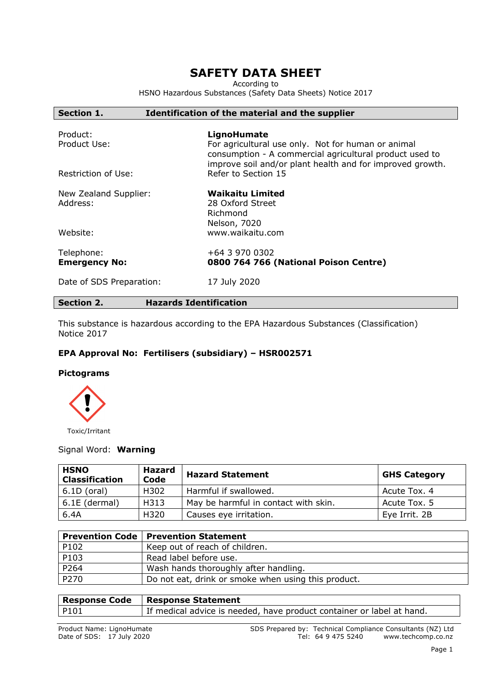# **SAFETY DATA SHEET**

According to

HSNO Hazardous Substances (Safety Data Sheets) Notice 2017

| consumption - A commercial agricultural product used to<br>improve soil and/or plant health and for improved growth. |
|----------------------------------------------------------------------------------------------------------------------|
|                                                                                                                      |
|                                                                                                                      |
|                                                                                                                      |
|                                                                                                                      |
|                                                                                                                      |
|                                                                                                                      |

## **Section 2. Hazards Identification**

This substance is hazardous according to the EPA Hazardous Substances (Classification) Notice 2017

## **EPA Approval No: Fertilisers (subsidiary) – HSR002571**

### **Pictograms**



Toxic/Irritant

## Signal Word: **Warning**

| <b>HSNO</b><br><b>Classification</b> | <b>Hazard</b><br>Code                        | <b>Hazard Statement</b> | <b>GHS Category</b> |
|--------------------------------------|----------------------------------------------|-------------------------|---------------------|
| $6.1D$ (oral)                        | H302                                         | Harmful if swallowed.   | Acute Tox. 4        |
| 6.1E (dermal)                        | May be harmful in contact with skin.<br>H313 |                         | Acute Tox. 5        |
| 6.4A                                 | H320                                         | Causes eye irritation.  | Eye Irrit. 2B       |

|      | <b>Prevention Code   Prevention Statement</b>       |
|------|-----------------------------------------------------|
| P102 | Keep out of reach of children.                      |
| P103 | Read label before use.                              |
| P264 | Wash hands thoroughly after handling.               |
| P270 | Do not eat, drink or smoke when using this product. |

| <b>Response Code</b> | <b>Response Statement</b>                                             |
|----------------------|-----------------------------------------------------------------------|
| P101                 | If medical advice is needed, have product container or label at hand. |
|                      |                                                                       |

Product Name: LignoHumate The SDS Prepared by: Technical Compliance Consultants (NZ) Ltd Date of SDS: 17 July 2020 Tel: 64 9 475 5240 www.techcomp.co.nz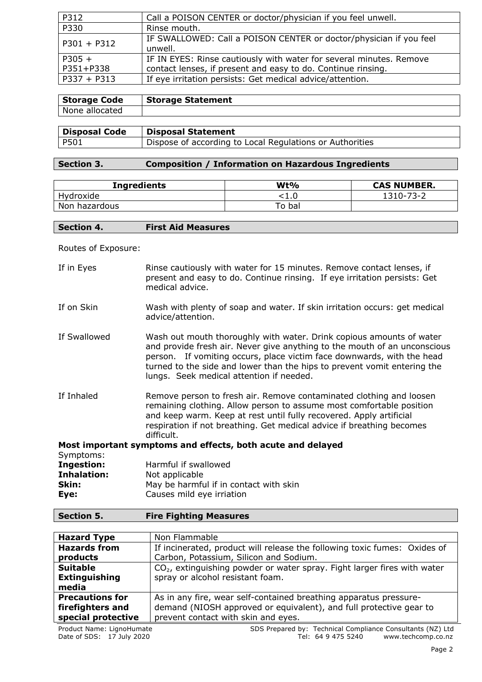| P312          | Call a POISON CENTER or doctor/physician if you feel unwell.                  |
|---------------|-------------------------------------------------------------------------------|
| P330          | Rinse mouth.                                                                  |
| $P301 + P312$ | IF SWALLOWED: Call a POISON CENTER or doctor/physician if you feel<br>unwell. |
| $P305 +$      | IF IN EYES: Rinse cautiously with water for several minutes. Remove           |
| P351+P338     | contact lenses, if present and easy to do. Continue rinsing.                  |
| $P337 + P313$ | If eye irritation persists: Get medical advice/attention.                     |

| <b>Storage Statement</b> | Storage Code   |
|--------------------------|----------------|
|                          |                |
|                          | None allocated |

| <b>Disposal Code</b> | Disposal Statement                                       |
|----------------------|----------------------------------------------------------|
| P501                 | Dispose of according to Local Regulations or Authorities |

## **Section 3. Composition / Information on Hazardous Ingredients**

| <b>Ingredients</b> | Wt%    | <b>CAS NUMBER.</b> |
|--------------------|--------|--------------------|
| Hvdroxide          | - 1. U | l310-73-2          |
| Non hazardous      | To bal |                    |

Routes of Exposure:

| If in Eyes         | Rinse cautiously with water for 15 minutes. Remove contact lenses, if<br>present and easy to do. Continue rinsing. If eye irritation persists: Get<br>medical advice.                                                                                                                                                                               |
|--------------------|-----------------------------------------------------------------------------------------------------------------------------------------------------------------------------------------------------------------------------------------------------------------------------------------------------------------------------------------------------|
| If on Skin         | Wash with plenty of soap and water. If skin irritation occurs: get medical<br>advice/attention.                                                                                                                                                                                                                                                     |
| If Swallowed       | Wash out mouth thoroughly with water. Drink copious amounts of water<br>and provide fresh air. Never give anything to the mouth of an unconscious<br>person. If vomiting occurs, place victim face downwards, with the head<br>turned to the side and lower than the hips to prevent vomit entering the<br>lungs. Seek medical attention if needed. |
| If Inhaled         | Remove person to fresh air. Remove contaminated clothing and loosen<br>remaining clothing. Allow person to assume most comfortable position<br>and keep warm. Keep at rest until fully recovered. Apply artificial<br>respiration if not breathing. Get medical advice if breathing becomes<br>difficult.                                           |
|                    | Most important symptoms and effects, both acute and delayed                                                                                                                                                                                                                                                                                         |
| Symptoms:          |                                                                                                                                                                                                                                                                                                                                                     |
| <b>Ingestion:</b>  | Harmful if swallowed                                                                                                                                                                                                                                                                                                                                |
| <b>Inhalation:</b> | Not applicable                                                                                                                                                                                                                                                                                                                                      |
| Skin:              | May be harmful if in contact with skin                                                                                                                                                                                                                                                                                                              |

|      |  | Causes mild eye irriation |
|------|--|---------------------------|
| Eye: |  |                           |

## **Section 5. Fire Fighting Measures**

| <b>Hazard Type</b>     | Non Flammable                                                              |  |  |
|------------------------|----------------------------------------------------------------------------|--|--|
| <b>Hazards from</b>    | If incinerated, product will release the following toxic fumes: Oxides of  |  |  |
| products               | Carbon, Potassium, Silicon and Sodium.                                     |  |  |
| <b>Suitable</b>        | $CO2$ , extinguishing powder or water spray. Fight larger fires with water |  |  |
| <b>Extinguishing</b>   | spray or alcohol resistant foam.                                           |  |  |
| media                  |                                                                            |  |  |
| <b>Precautions for</b> | As in any fire, wear self-contained breathing apparatus pressure-          |  |  |
| firefighters and       | demand (NIOSH approved or equivalent), and full protective gear to         |  |  |
| special protective     | prevent contact with skin and eyes.                                        |  |  |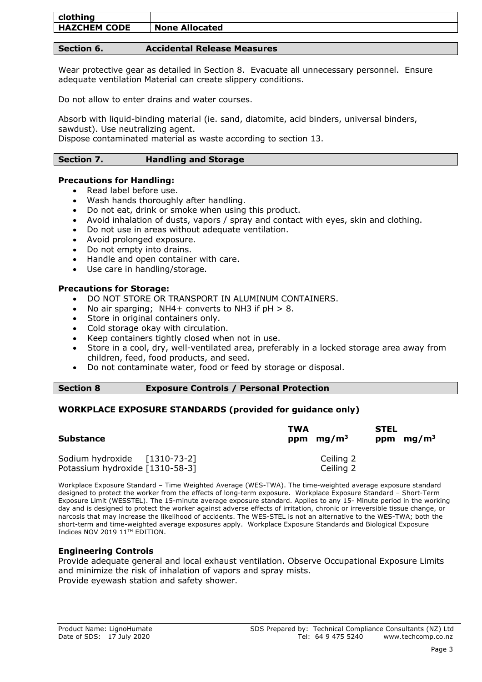| clothing            |                       |
|---------------------|-----------------------|
| <b>HAZCHEM CODE</b> | <b>None Allocated</b> |

## **Section 6. Accidental Release Measures**

Wear protective gear as detailed in Section 8. Evacuate all unnecessary personnel. Ensure adequate ventilation Material can create slippery conditions.

Do not allow to enter drains and water courses.

Absorb with liquid-binding material (ie. sand, diatomite, acid binders, universal binders, sawdust). Use neutralizing agent.

Dispose contaminated material as waste according to section 13.

### **Section 7. Handling and Storage**

#### **Precautions for Handling:**

- Read label before use.
- Wash hands thoroughly after handling.
- Do not eat, drink or smoke when using this product.
- Avoid inhalation of dusts, vapors / spray and contact with eyes, skin and clothing.
- Do not use in areas without adequate ventilation.
- Avoid prolonged exposure.
- Do not empty into drains.
- Handle and open container with care.
- Use care in handling/storage.

#### **Precautions for Storage:**

- DO NOT STORE OR TRANSPORT IN ALUMINUM CONTAINERS.
- No air sparging; NH4+ converts to NH3 if  $pH > 8$ .
- Store in original containers only.
- Cold storage okay with circulation.
- Keep containers tightly closed when not in use.
- Store in a cool, dry, well-ventilated area, preferably in a locked storage area away from children, feed, food products, and seed.
- Do not contaminate water, food or feed by storage or disposal.

| <b>Exposure Controls / Personal Protection</b><br><b>Section 8</b> |  |
|--------------------------------------------------------------------|--|
|--------------------------------------------------------------------|--|

## **WORKPLACE EXPOSURE STANDARDS (provided for guidance only)**

| <b>Substance</b>                | TWA<br>ppm $mg/m3$ | <b>STEL</b><br>ppm $mg/m3$ |
|---------------------------------|--------------------|----------------------------|
| Sodium hydroxide [1310-73-2]    | Ceiling 2          |                            |
| Potassium hydroxide [1310-58-3] | Ceiling 2          |                            |

Workplace Exposure Standard – Time Weighted Average (WES-TWA). The time-weighted average exposure standard designed to protect the worker from the effects of long-term exposure. Workplace Exposure Standard – Short-Term Exposure Limit (WESSTEL). The 15-minute average exposure standard. Applies to any 15- Minute period in the working day and is designed to protect the worker against adverse effects of irritation, chronic or irreversible tissue change, or narcosis that may increase the likelihood of accidents. The WES-STEL is not an alternative to the WES-TWA; both the short-term and time-weighted average exposures apply. Workplace Exposure Standards and Biological Exposure Indices NOV 2019 11<sup>TH</sup> EDITION.

## **Engineering Controls**

Provide adequate general and local exhaust ventilation. Observe Occupational Exposure Limits and minimize the risk of inhalation of vapors and spray mists. Provide eyewash station and safety shower.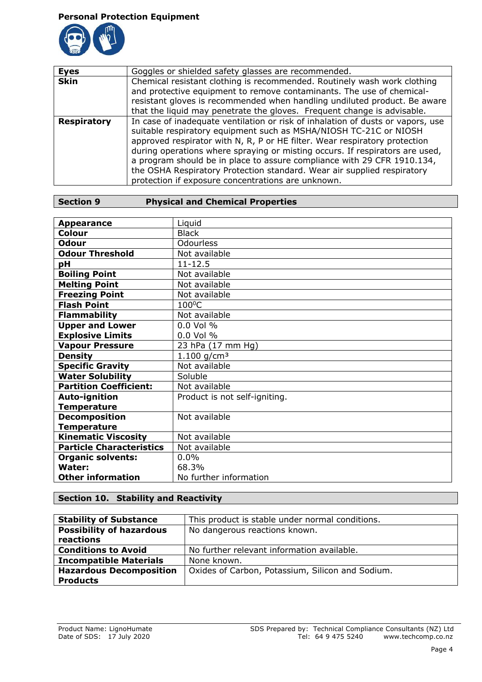## **Personal Protection Equipment**



| <b>Eyes</b>        | Goggles or shielded safety glasses are recommended.                                                                                                                                                                                                                                                                                                                                                                                                                                                                            |  |
|--------------------|--------------------------------------------------------------------------------------------------------------------------------------------------------------------------------------------------------------------------------------------------------------------------------------------------------------------------------------------------------------------------------------------------------------------------------------------------------------------------------------------------------------------------------|--|
| <b>Skin</b>        | Chemical resistant clothing is recommended. Routinely wash work clothing<br>and protective equipment to remove contaminants. The use of chemical-                                                                                                                                                                                                                                                                                                                                                                              |  |
|                    | resistant gloves is recommended when handling undiluted product. Be aware<br>that the liquid may penetrate the gloves. Frequent change is advisable.                                                                                                                                                                                                                                                                                                                                                                           |  |
| <b>Respiratory</b> | In case of inadequate ventilation or risk of inhalation of dusts or vapors, use<br>suitable respiratory equipment such as MSHA/NIOSH TC-21C or NIOSH<br>approved respirator with N, R, P or HE filter. Wear respiratory protection<br>during operations where spraying or misting occurs. If respirators are used,<br>a program should be in place to assure compliance with 29 CFR 1910.134,<br>the OSHA Respiratory Protection standard. Wear air supplied respiratory<br>protection if exposure concentrations are unknown. |  |

| <b>Appearance</b>               | Liquid                        |
|---------------------------------|-------------------------------|
| Colour                          | <b>Black</b>                  |
| <b>Odour</b>                    | <b>Odourless</b>              |
| <b>Odour Threshold</b>          | Not available                 |
| рH                              | $11 - 12.5$                   |
| <b>Boiling Point</b>            | Not available                 |
| <b>Melting Point</b>            | Not available                 |
| <b>Freezing Point</b>           | Not available                 |
| <b>Flash Point</b>              | $100^{\circ}$ C               |
| <b>Flammability</b>             | Not available                 |
| <b>Upper and Lower</b>          | $0.0$ Vol %                   |
| <b>Explosive Limits</b>         | 0.0 Vol %                     |
| <b>Vapour Pressure</b>          | 23 hPa (17 mm Hg)             |
| <b>Density</b>                  | 1.100 $g/cm^3$                |
| <b>Specific Gravity</b>         | Not available                 |
| <b>Water Solubility</b>         | Soluble                       |
| <b>Partition Coefficient:</b>   | Not available                 |
| <b>Auto-ignition</b>            | Product is not self-igniting. |
| <b>Temperature</b>              |                               |
| <b>Decomposition</b>            | Not available                 |
| <b>Temperature</b>              |                               |
| <b>Kinematic Viscosity</b>      | Not available                 |
| <b>Particle Characteristics</b> | Not available                 |
| <b>Organic solvents:</b>        | $0.0\%$                       |
| Water:                          | 68.3%                         |
| <b>Other information</b>        | No further information        |

## **Section 10. Stability and Reactivity**

| <b>Stability of Substance</b>   | This product is stable under normal conditions.  |  |
|---------------------------------|--------------------------------------------------|--|
| <b>Possibility of hazardous</b> | No dangerous reactions known.                    |  |
| reactions                       |                                                  |  |
| <b>Conditions to Avoid</b>      | No further relevant information available.       |  |
| <b>Incompatible Materials</b>   | None known.                                      |  |
| <b>Hazardous Decomposition</b>  | Oxides of Carbon, Potassium, Silicon and Sodium. |  |
| <b>Products</b>                 |                                                  |  |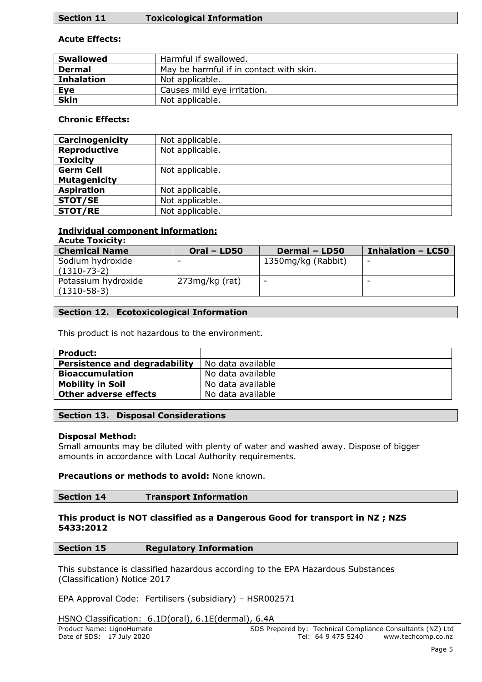## **Section 11 Toxicological Information**

## **Acute Effects:**

| <b>Swallowed</b>  | Harmful if swallowed.                   |
|-------------------|-----------------------------------------|
| <b>Dermal</b>     | May be harmful if in contact with skin. |
| <b>Inhalation</b> | Not applicable.                         |
| Eye               | Causes mild eye irritation.             |
| <b>Skin</b>       | Not applicable.                         |
|                   |                                         |

## **Chronic Effects:**

| Carcinogenicity     | Not applicable. |
|---------------------|-----------------|
| <b>Reproductive</b> | Not applicable. |
| <b>Toxicity</b>     |                 |
| <b>Germ Cell</b>    | Not applicable. |
| <b>Mutagenicity</b> |                 |
| <b>Aspiration</b>   | Not applicable. |
| <b>STOT/SE</b>      | Not applicable. |
| <b>STOT/RE</b>      | Not applicable. |

#### **Individual component information: Acute Toxicity:**

| <b>ALULE I UAILILY.</b>                  |                  |                          |                          |
|------------------------------------------|------------------|--------------------------|--------------------------|
| <b>Chemical Name</b>                     | Oral - LD50      | Dermal - LD50            | <b>Inhalation - LC50</b> |
| Sodium hydroxide<br>$(1310 - 73 - 2)$    | -                | 1350mg/kg (Rabbit)       | $\overline{\phantom{0}}$ |
| Potassium hydroxide<br>$(1310 - 58 - 3)$ | $273mg/kg$ (rat) | $\overline{\phantom{0}}$ | -                        |

## **Section 12. Ecotoxicological Information**

This product is not hazardous to the environment.

| <b>Product:</b>                      |                   |
|--------------------------------------|-------------------|
| <b>Persistence and degradability</b> | No data available |
| <b>Bioaccumulation</b>               | No data available |
| <b>Mobility in Soil</b>              | No data available |
| <b>Other adverse effects</b>         | No data available |

## **Section 13. Disposal Considerations**

## **Disposal Method:**

Small amounts may be diluted with plenty of water and washed away. Dispose of bigger amounts in accordance with Local Authority requirements.

## **Precautions or methods to avoid:** None known.

### **Section 14 Transport Information**

## **This product is NOT classified as a Dangerous Good for transport in NZ ; NZS 5433:2012**

## **Section 15 Regulatory Information**

This substance is classified hazardous according to the EPA Hazardous Substances (Classification) Notice 2017

EPA Approval Code: Fertilisers (subsidiary) – HSR002571

HSNO Classification: 6.1D(oral), 6.1E(dermal), 6.4A